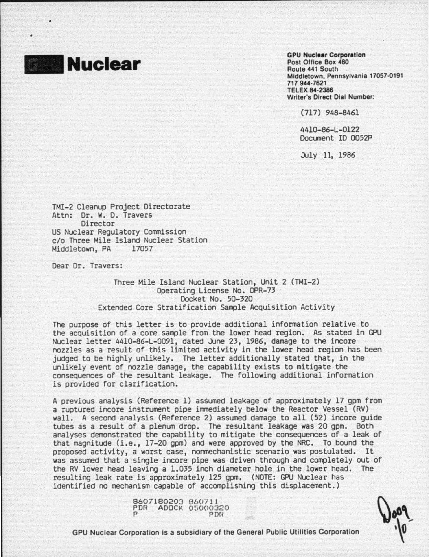

**GPU Nuclear Corporation** Post Office Box 480 Route 441 South Middletown, Pennsylvania 17057·0191 717 944·7621 TELEX 84·2386 Writer's Direct Dial Number:

(717) 948-8461

4410-86-L-0122 Oocunent 10 0052P

July 11, 1986

TMI-2 Cleanup Project Directorate Attn: Dr. W. D. Travers Director US Nuclear Regulatory Commission c/o Three Mile Island Nuclear Station<br>Middletown, PA 17057 Middletown, PA

Dear Dr. Travers:

Three Mile Island Nuclear Station, Unit 2 (TMI-2) Operating License No. DPR-73 Docket No. 50-320 Extended Core Stratification Sample Acquisition Activity

The purpose of this letter is to provide additional information relative to the acquisition of a core sample from the lower head region. As stated in GPU Nuclear letter 4410-86-L-0091, dated June 23, 1986, damage to the incore nozzles as a result of this limited activity in the lower head region has been judged to be highly unlikely. The letter additionally stated that, in the unlikely event of nozzle damage, the capability exists to mitigate the consequences of the resultant leakage. The following additional information is provided for clarification.

A previous analysis (Reference 1) assumed leakage of approximately 17 gpm from a ruptured incore instrument pipe immediately below the Reactor Vessel (RV) wall. A second analysis (Reference 2) assumed damage to all (52) incore guide tubes as a result of a plenum drop. The resultant leakage was 20 gpm. Both analyses demonstrated the capability to mitigate the consequences of a leak of that magnitude (i.e., 17-20 gpm) and were approved by the NRC. To bound the proposed activity, a worst case, nonmechanistic scenario was postulated. It was assumed that a single incore pipe was driven through and completely out of the RV lower head leaving a 1.035 inch diameter hole in the lower head. The resulting leak rate is approximately 125 gpm. (NOTE: GPU Nuclear has identified no mechanism capable of accomplishing this displacement.)

8607180203 860711<br>PDR ADOCK 05000320<br>P PDR

GPU Nuclear Corporation is a subsidiary of the General Public Utilities Corporation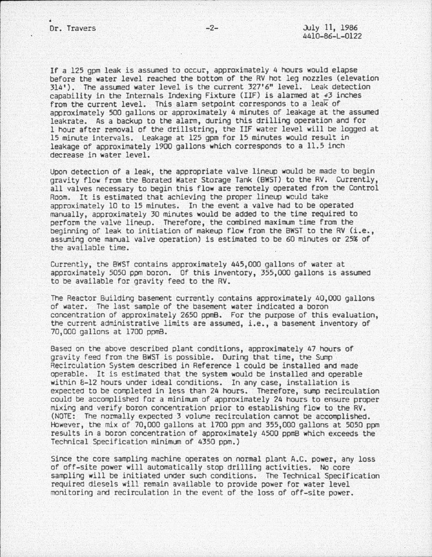...----------------------------------------------

If a 125 gpm leak is assumed to occur, approximately 4 hours would elapse before the water level reached the bottom of the RV hot leg nozzles (elevation 314'). The assumed water level is the current 327'6" level. Leak detection capability in the Internals Indexing Fixture (IIF) is alarmed at  $+3$  inches from the current level. This alarm setpoint corresponds to a leak of approximately 500 gallons or approximately 4 minutes of leakage at the assumed leakrate. As a backup to the alarm, during this drilling operation and for 1 hour after removal of the drillstring, the IIF water level will be logged at 15 minute intervals. Leakage at 125 gpm for 15 minutes would result in leakage of approximately 1900 gallons which corresponds to a 11.5 inch decrease in water level.

Upon detection of a leak, the appropriate valve lineup would be made to begin gravity flow from the Borated Water Storage Tank (BWST) to the RV. Currently, all valves necessary to begin this flow are remotely operated from the COntrol Room. It is estimated that achieving the proper lineup would take approximately 10 to 15 minutes. In the event a valve had to be operated manwally, approximately 30 minutes would be added to the time required to perform the valve lineup. Therefore, the combined maximum time from the beginning of leak to initiation of makeup flow from the BWST to the RV (i.e., assuming one manual valve operation) is estimated to be 60 minutes or 25% of the available time.

Currently, the BWST contains approximately 445,000 gallons of water at approximately 5050 ppm boron. Of this inventory, 355,000 gallons is assumed to be available for gravity feed to the RV.

The Reactor Building basement currently contains approximately 40,000 gallons of water. The last sample of the basement water indicated a boron concentration of approximately 2650 ppmB. For the purpose of this evaluation, the current administrative limits are assumed, i.e., a basement inventory of 70,000 gallons at 1700 ppmS.

Based on the above aescribed plant conditions, approximately 47 hours of gravity feed from the BWST is possible. During that time, the Sump .<br>Recirculation System described in Reference 1 could be installed and made operable. It is estimated that the system would be installed and operable within 8-12 hours under ideal conditions. In any case, installation is expected to be completed in less than 24 hours. Therefore, sump recirculation could be accomplished for a minimum of approximately 24 hours to ensure proper mixing and verify boron concentration prior to establishing flow to the RV. (NOTE: The normally expected 3 volume recirculation cannot be accomplished. However, the mix of 70,000 gallons at 1700 ppm and 355,000 gallons at 5050 ppm results in a boron concentration of approximately 4500 ppmB which exceeds the Technical Specification minimum of 4350 ppm.)

Since the core sampling machine operates on normal plant A.C. power, any loss of off-site power will automatically stop drilling activities. No core sampling will be initiated under such conditions. The Technical Specification required diesels will remain available to provide power for water level monitoring and recirculation in the event of the loss of off-site power.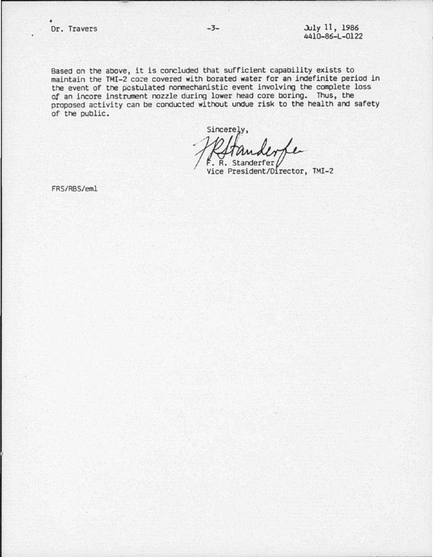Based on the above, it is concluded that sufficient capability exists to maintain the TMI-2 core covered with borated water for an indefinite period in the event of the postulated nonmechanistic event involving the complete loss of an incore instrunent nozzle during lower head core boring. Thus, the proposed activity can be conducted without undue risk to the health and safety of the public.

Sincerely, • R. Standerfer

Vice President/Director, TMI-2

FRS/RBS/eml